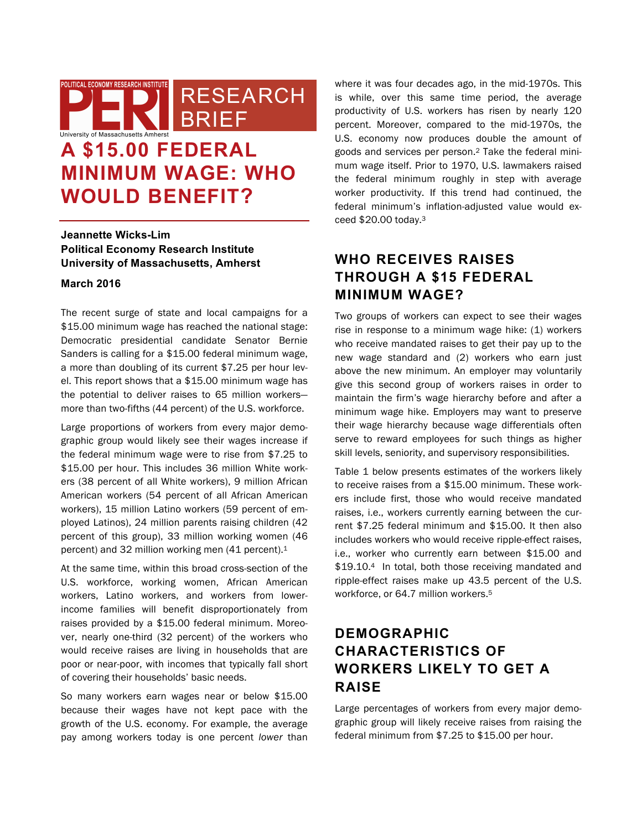RESEARCH **BRIEF** University of Massachusetts Amherst **A \$15.00 FEDERAL** 

# **MINIMUM WAGE: WHO WOULD BENEFIT?**

**Jeannette Wicks-Lim Political Economy Research Institute University of Massachusetts, Amherst**

### **March 2016**

The recent surge of state and local campaigns for a \$15.00 minimum wage has reached the national stage: Democratic presidential candidate Senator Bernie Sanders is calling for a \$15.00 federal minimum wage, a more than doubling of its current \$7.25 per hour level. This report shows that a \$15.00 minimum wage has the potential to deliver raises to 65 million workers more than two-fifths (44 percent) of the U.S. workforce.

Large proportions of workers from every major demographic group would likely see their wages increase if the federal minimum wage were to rise from \$7.25 to \$15.00 per hour. This includes 36 million White workers (38 percent of all White workers), 9 million African American workers (54 percent of all African American workers), 15 million Latino workers (59 percent of employed Latinos), 24 million parents raising children (42 percent of this group), 33 million working women (46 percent) and 32 million working men (41 percent).1

At the same time, within this broad cross-section of the U.S. workforce, working women, African American workers, Latino workers, and workers from lowerincome families will benefit disproportionately from raises provided by a \$15.00 federal minimum. Moreover, nearly one-third (32 percent) of the workers who would receive raises are living in households that are poor or near-poor, with incomes that typically fall short of covering their households' basic needs.

So many workers earn wages near or below \$15.00 because their wages have not kept pace with the growth of the U.S. economy. For example, the average pay among workers today is one percent *lower* than where it was four decades ago, in the mid-1970s. This is while, over this same time period, the average productivity of U.S. workers has risen by nearly 120 percent. Moreover, compared to the mid-1970s, the U.S. economy now produces double the amount of goods and services per person.2 Take the federal minimum wage itself. Prior to 1970, U.S. lawmakers raised the federal minimum roughly in step with average worker productivity. If this trend had continued, the federal minimum's inflation-adjusted value would exceed \$20.00 today.3

## **WHO RECEIVES RAISES THROUGH A \$15 FEDERAL MINIMUM WAGE?**

Two groups of workers can expect to see their wages rise in response to a minimum wage hike: (1) workers who receive mandated raises to get their pay up to the new wage standard and (2) workers who earn just above the new minimum. An employer may voluntarily give this second group of workers raises in order to maintain the firm's wage hierarchy before and after a minimum wage hike. Employers may want to preserve their wage hierarchy because wage differentials often serve to reward employees for such things as higher skill levels, seniority, and supervisory responsibilities.

Table 1 below presents estimates of the workers likely to receive raises from a \$15.00 minimum. These workers include first, those who would receive mandated raises, i.e., workers currently earning between the current \$7.25 federal minimum and \$15.00. It then also includes workers who would receive ripple-effect raises, i.e., worker who currently earn between \$15.00 and \$19.10.4 In total, both those receiving mandated and ripple-effect raises make up 43.5 percent of the U.S. workforce, or 64.7 million workers.<sup>5</sup>

# **DEMOGRAPHIC CHARACTERISTICS OF WORKERS LIKELY TO GET A RAISE**

Large percentages of workers from every major demographic group will likely receive raises from raising the federal minimum from \$7.25 to \$15.00 per hour.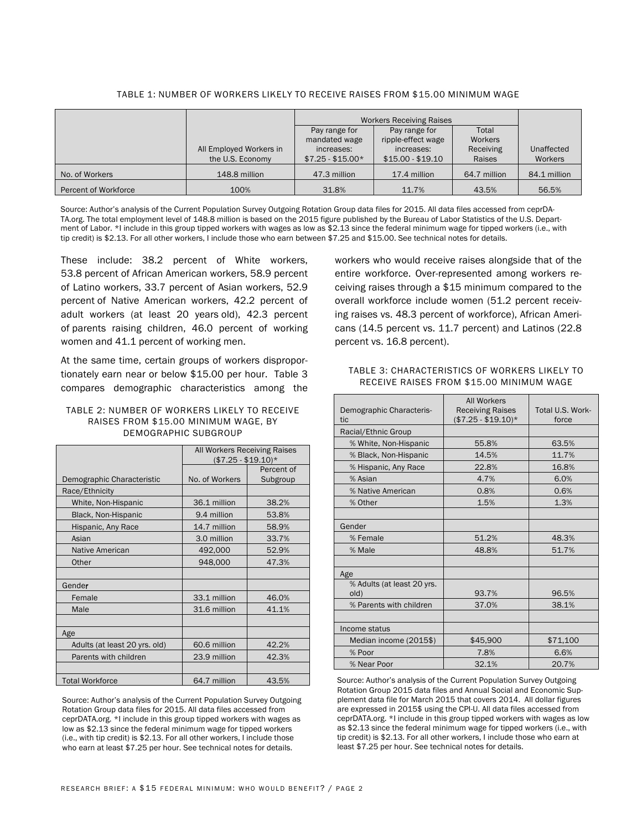|                      |                         | <b>Workers Receiving Raises</b> |                    |              |              |
|----------------------|-------------------------|---------------------------------|--------------------|--------------|--------------|
|                      |                         | Pay range for                   | Pay range for      | Total        |              |
|                      |                         | mandated wage                   | ripple-effect wage | Workers      |              |
|                      | All Employed Workers in | increases:                      | increases:         | Receiving    | Unaffected   |
|                      | the U.S. Economy        | $$7.25 - $15.00*$               | $$15.00 - $19.10$  | Raises       | Workers      |
| No. of Workers       | 148.8 million           | 47.3 million                    | 17.4 million       | 64.7 million | 84.1 million |
| Percent of Workforce | 100%                    | 31.8%                           | 11.7%              | 43.5%        | 56.5%        |

#### TABLE 1: NUMBER OF WORKERS LIKELY TO RECEIVE RAISES FROM \$15.00 MINIMUM WAGE

Source: Author's analysis of the Current Population Survey Outgoing Rotation Group data files for 2015. All data files accessed from ceprDA-TA.org. The total employment level of 148.8 million is based on the 2015 figure published by the Bureau of Labor Statistics of the U.S. Department of Labor. \*I include in this group tipped workers with wages as low as \$2.13 since the federal minimum wage for tipped workers (i.e., with tip credit) is \$2.13. For all other workers, I include those who earn between \$7.25 and \$15.00. See technical notes for details.

These include: 38.2 percent of White workers, 53.8 percent of African American workers, 58.9 percent of Latino workers, 33.7 percent of Asian workers, 52.9 percent of Native American workers, 42.2 percent of adult workers (at least 20 years old), 42.3 percent of parents raising children, 46.0 percent of working women and 41.1 percent of working men.

At the same time, certain groups of workers disproportionately earn near or below \$15.00 per hour. Table 3 compares demographic characteristics among the

#### TABLE 2: NUMBER OF WORKERS LIKELY TO RECEIVE RAISES FROM \$15.00 MINIMUM WAGE, BY DEMOGRAPHIC SUBGROUP

|                               | All Workers Receiving Raises<br>$($7.25 - $19.10)*$ |            |  |
|-------------------------------|-----------------------------------------------------|------------|--|
|                               |                                                     | Percent of |  |
| Demographic Characteristic    | No. of Workers                                      | Subgroup   |  |
| Race/Ethnicity                |                                                     |            |  |
| White, Non-Hispanic           | 36.1 million                                        | 38.2%      |  |
| Black, Non-Hispanic           | 9.4 million                                         | 53.8%      |  |
| Hispanic, Any Race            | 14.7 million                                        | 58.9%      |  |
| Asian                         | 3.0 million                                         | 33.7%      |  |
| Native American               | 492,000                                             | 52.9%      |  |
| Other                         | 948,000                                             | 47.3%      |  |
|                               |                                                     |            |  |
| Gender                        |                                                     |            |  |
| Female                        | 33.1 million                                        | 46.0%      |  |
| Male                          | 31.6 million                                        | 41.1%      |  |
|                               |                                                     |            |  |
| Age                           |                                                     |            |  |
| Adults (at least 20 yrs. old) | 60.6 million                                        | 42.2%      |  |
| Parents with children         | 23.9 million                                        | 42.3%      |  |
|                               |                                                     |            |  |
| <b>Total Workforce</b>        | 64.7 million                                        | 43.5%      |  |

Source: Author's analysis of the Current Population Survey Outgoing Rotation Group data files for 2015. All data files accessed from ceprDATA.org. \*I include in this group tipped workers with wages as low as \$2.13 since the federal minimum wage for tipped workers (i.e., with tip credit) is \$2.13. For all other workers, I include those who earn at least \$7.25 per hour. See technical notes for details.

workers who would receive raises alongside that of the entire workforce. Over-represented among workers receiving raises through a \$15 minimum compared to the overall workforce include women (51.2 percent receiving raises vs. 48.3 percent of workforce), African Americans (14.5 percent vs. 11.7 percent) and Latinos (22.8 percent vs. 16.8 percent).

### TABLE 3: CHARACTERISTICS OF WORKERS LIKELY TO RECEIVE RAISES FROM \$15.00 MINIMUM WAGE

| Demographic Characteris-<br>tic    | <b>All Workers</b><br><b>Receiving Raises</b><br>$($7.25 - $19.10)*$ | Total U.S. Work-<br>force |  |
|------------------------------------|----------------------------------------------------------------------|---------------------------|--|
| Racial/Ethnic Group                |                                                                      |                           |  |
| % White, Non-Hispanic              | 55.8%                                                                | 63.5%                     |  |
| % Black, Non-Hispanic              | 14.5%                                                                | 11.7%                     |  |
| % Hispanic, Any Race               | 22.8%                                                                | 16.8%                     |  |
| % Asian                            | 4.7%                                                                 | 6.0%                      |  |
| % Native American                  | 0.8%                                                                 | 0.6%                      |  |
| % Other                            | 1.5%                                                                 | 1.3%                      |  |
|                                    |                                                                      |                           |  |
| Gender                             |                                                                      |                           |  |
| % Female                           | 51.2%                                                                | 48.3%                     |  |
| % Male                             | 48.8%                                                                | 51.7%                     |  |
|                                    |                                                                      |                           |  |
| Age                                |                                                                      |                           |  |
| % Adults (at least 20 yrs.<br>old) | 93.7%                                                                | 96.5%                     |  |
| % Parents with children            | 37.0%                                                                | 38.1%                     |  |
|                                    |                                                                      |                           |  |
| Income status                      |                                                                      |                           |  |
| Median income (2015\$)             | \$45,900                                                             | \$71,100                  |  |
| % Poor                             | 7.8%                                                                 | 6.6%                      |  |
| % Near Poor                        | 32.1%                                                                | 20.7%                     |  |

Source: Author's analysis of the Current Population Survey Outgoing Rotation Group 2015 data files and Annual Social and Economic Supplement data file for March 2015 that covers 2014. All dollar figures are expressed in 2015\$ using the CPI-U. All data files accessed from ceprDATA.org. \*I include in this group tipped workers with wages as low as \$2.13 since the federal minimum wage for tipped workers (i.e., with tip credit) is \$2.13. For all other workers, I include those who earn at least \$7.25 per hour. See technical notes for details.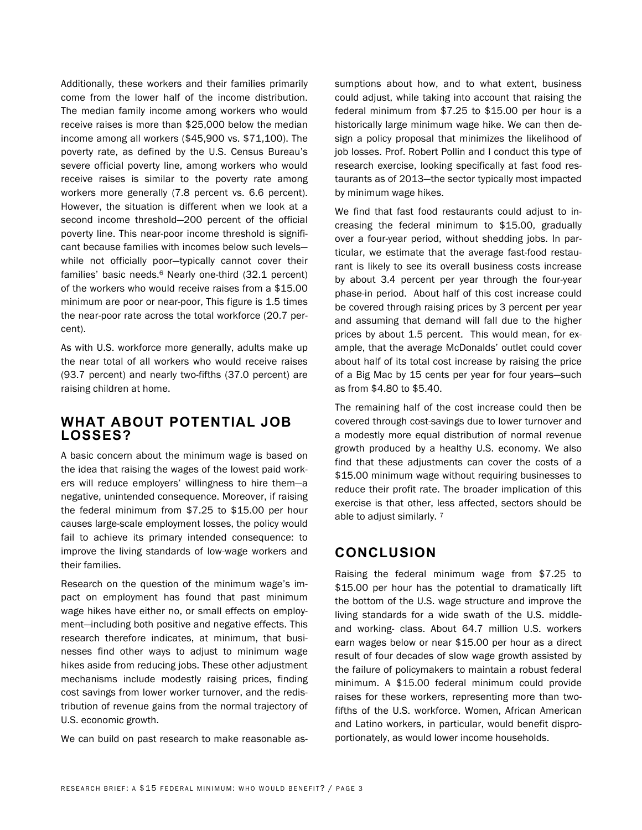Additionally, these workers and their families primarily come from the lower half of the income distribution. The median family income among workers who would receive raises is more than \$25,000 below the median income among all workers (\$45,900 vs. \$71,100). The poverty rate, as defined by the U.S. Census Bureau's severe official poverty line, among workers who would receive raises is similar to the poverty rate among workers more generally (7.8 percent vs. 6.6 percent). However, the situation is different when we look at a second income threshold—200 percent of the official poverty line. This near-poor income threshold is significant because families with incomes below such levels while not officially poor—typically cannot cover their families' basic needs.<sup>6</sup> Nearly one-third (32.1 percent) of the workers who would receive raises from a \$15.00 minimum are poor or near-poor, This figure is 1.5 times the near-poor rate across the total workforce (20.7 percent).

As with U.S. workforce more generally, adults make up the near total of all workers who would receive raises (93.7 percent) and nearly two-fifths (37.0 percent) are raising children at home.

### **WHAT ABOUT POTENTIAL JOB LOSSES?**

A basic concern about the minimum wage is based on the idea that raising the wages of the lowest paid workers will reduce employers' willingness to hire them—a negative, unintended consequence. Moreover, if raising the federal minimum from \$7.25 to \$15.00 per hour causes large-scale employment losses, the policy would fail to achieve its primary intended consequence: to improve the living standards of low-wage workers and their families.

Research on the question of the minimum wage's impact on employment has found that past minimum wage hikes have either no, or small effects on employment—including both positive and negative effects. This research therefore indicates, at minimum, that businesses find other ways to adjust to minimum wage hikes aside from reducing jobs. These other adjustment mechanisms include modestly raising prices, finding cost savings from lower worker turnover, and the redistribution of revenue gains from the normal trajectory of U.S. economic growth.

We can build on past research to make reasonable as-

sumptions about how, and to what extent, business could adjust, while taking into account that raising the federal minimum from \$7.25 to \$15.00 per hour is a historically large minimum wage hike. We can then design a policy proposal that minimizes the likelihood of job losses. Prof. Robert Pollin and I conduct this type of research exercise, looking specifically at fast food restaurants as of 2013—the sector typically most impacted by minimum wage hikes.

We find that fast food restaurants could adjust to increasing the federal minimum to \$15.00, gradually over a four-year period, without shedding jobs. In particular, we estimate that the average fast-food restaurant is likely to see its overall business costs increase by about 3.4 percent per year through the four-year phase-in period. About half of this cost increase could be covered through raising prices by 3 percent per year and assuming that demand will fall due to the higher prices by about 1.5 percent. This would mean, for example, that the average McDonalds' outlet could cover about half of its total cost increase by raising the price of a Big Mac by 15 cents per year for four years—such as from \$4.80 to \$5.40.

The remaining half of the cost increase could then be covered through cost-savings due to lower turnover and a modestly more equal distribution of normal revenue growth produced by a healthy U.S. economy. We also find that these adjustments can cover the costs of a \$15.00 minimum wage without requiring businesses to reduce their profit rate. The broader implication of this exercise is that other, less affected, sectors should be able to adjust similarly. 7

### **CONCLUSION**

Raising the federal minimum wage from \$7.25 to \$15.00 per hour has the potential to dramatically lift the bottom of the U.S. wage structure and improve the living standards for a wide swath of the U.S. middleand working- class. About 64.7 million U.S. workers earn wages below or near \$15.00 per hour as a direct result of four decades of slow wage growth assisted by the failure of policymakers to maintain a robust federal minimum. A \$15.00 federal minimum could provide raises for these workers, representing more than twofifths of the U.S. workforce. Women, African American and Latino workers, in particular, would benefit disproportionately, as would lower income households.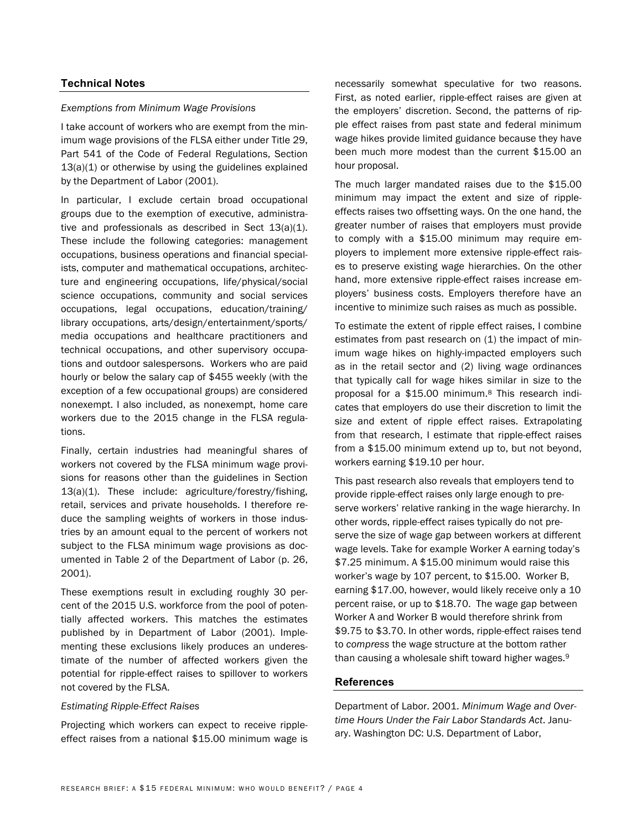### **Technical Notes**

### *Exemptions from Minimum Wage Provisions*

I take account of workers who are exempt from the minimum wage provisions of the FLSA either under Title 29, Part 541 of the Code of Federal Regulations, Section 13(a)(1) or otherwise by using the guidelines explained by the Department of Labor (2001).

In particular, I exclude certain broad occupational groups due to the exemption of executive, administrative and professionals as described in Sect 13(a)(1). These include the following categories: management occupations, business operations and financial specialists, computer and mathematical occupations, architecture and engineering occupations, life/physical/social science occupations, community and social services occupations, legal occupations, education/training/ library occupations, arts/design/entertainment/sports/ media occupations and healthcare practitioners and technical occupations, and other supervisory occupations and outdoor salespersons. Workers who are paid hourly or below the salary cap of \$455 weekly (with the exception of a few occupational groups) are considered nonexempt. I also included, as nonexempt, home care workers due to the 2015 change in the FLSA regulations.

Finally, certain industries had meaningful shares of workers not covered by the FLSA minimum wage provisions for reasons other than the guidelines in Section 13(a)(1). These include: agriculture/forestry/fishing, retail, services and private households. I therefore reduce the sampling weights of workers in those industries by an amount equal to the percent of workers not subject to the FLSA minimum wage provisions as documented in Table 2 of the Department of Labor (p. 26, 2001).

These exemptions result in excluding roughly 30 percent of the 2015 U.S. workforce from the pool of potentially affected workers. This matches the estimates published by in Department of Labor (2001). Implementing these exclusions likely produces an underestimate of the number of affected workers given the potential for ripple-effect raises to spillover to workers not covered by the FLSA.

#### *Estimating Ripple-Effect Raises*

Projecting which workers can expect to receive rippleeffect raises from a national \$15.00 minimum wage is

necessarily somewhat speculative for two reasons. First, as noted earlier, ripple-effect raises are given at the employers' discretion. Second, the patterns of ripple effect raises from past state and federal minimum wage hikes provide limited guidance because they have been much more modest than the current \$15.00 an hour proposal.

The much larger mandated raises due to the \$15.00 minimum may impact the extent and size of rippleeffects raises two offsetting ways. On the one hand, the greater number of raises that employers must provide to comply with a \$15.00 minimum may require employers to implement more extensive ripple-effect raises to preserve existing wage hierarchies. On the other hand, more extensive ripple-effect raises increase employers' business costs. Employers therefore have an incentive to minimize such raises as much as possible.

To estimate the extent of ripple effect raises, I combine estimates from past research on (1) the impact of minimum wage hikes on highly-impacted employers such as in the retail sector and (2) living wage ordinances that typically call for wage hikes similar in size to the proposal for a \$15.00 minimum.8 This research indicates that employers do use their discretion to limit the size and extent of ripple effect raises. Extrapolating from that research, I estimate that ripple-effect raises from a \$15.00 minimum extend up to, but not beyond, workers earning \$19.10 per hour.

This past research also reveals that employers tend to provide ripple-effect raises only large enough to preserve workers' relative ranking in the wage hierarchy. In other words, ripple-effect raises typically do not preserve the size of wage gap between workers at different wage levels. Take for example Worker A earning today's \$7.25 minimum. A \$15.00 minimum would raise this worker's wage by 107 percent, to \$15.00. Worker B, earning \$17.00, however, would likely receive only a 10 percent raise, or up to \$18.70. The wage gap between Worker A and Worker B would therefore shrink from \$9.75 to \$3.70. In other words, ripple-effect raises tend to *compress* the wage structure at the bottom rather than causing a wholesale shift toward higher wages.9

### **References**

Department of Labor. 2001. *Minimum Wage and Overtime Hours Under the Fair Labor Standards Act*. January. Washington DC: U.S. Department of Labor,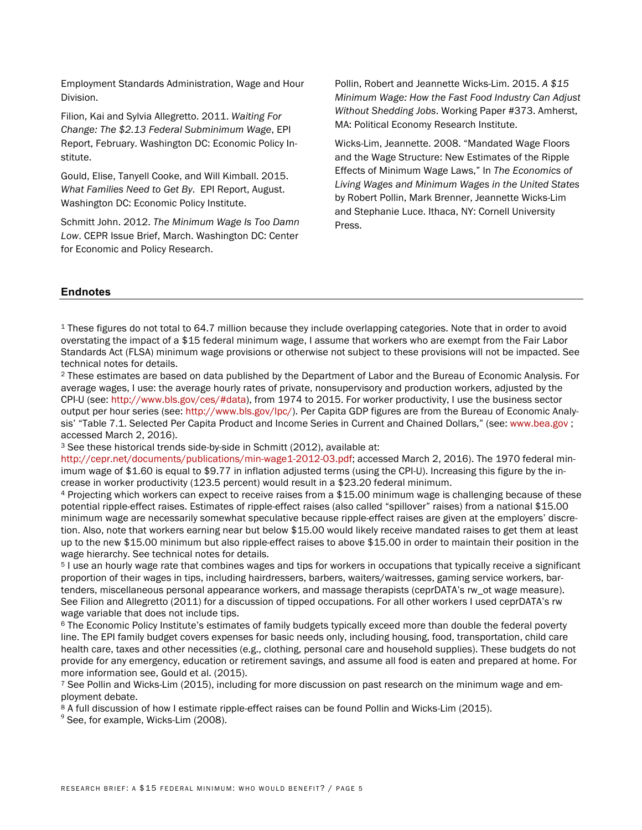Employment Standards Administration, Wage and Hour Division.

Filion, Kai and Sylvia Allegretto. 2011. *Waiting For Change: The \$2.13 Federal Subminimum Wage*, EPI Report, February. Washington DC: Economic Policy Institute.

Gould, Elise, Tanyell Cooke, and Will Kimball. 2015. *What Families Need to Get By*. EPI Report, August. Washington DC: Economic Policy Institute.

Schmitt John. 2012. *The Minimum Wage Is Too Damn Low*. CEPR Issue Brief, March. Washington DC: Center for Economic and Policy Research.

Pollin, Robert and Jeannette Wicks-Lim. 2015. *A \$15 Minimum Wage: How the Fast Food Industry Can Adjust Without Shedding Jobs*. Working Paper #373. Amherst, MA: Political Economy Research Institute.

Wicks-Lim, Jeannette. 2008. "Mandated Wage Floors and the Wage Structure: New Estimates of the Ripple Effects of Minimum Wage Laws," In *The Economics of Living Wages and Minimum Wages in the United States* by Robert Pollin, Mark Brenner, Jeannette Wicks-Lim and Stephanie Luce. Ithaca, NY: Cornell University Press.

### **Endnotes**

<sup>1</sup> These figures do not total to 64.7 million because they include overlapping categories. Note that in order to avoid overstating the impact of a \$15 federal minimum wage, I assume that workers who are exempt from the Fair Labor Standards Act (FLSA) minimum wage provisions or otherwise not subject to these provisions will not be impacted. See technical notes for details.<br><sup>2</sup> These estimates are based on data published by the Department of Labor and the Bureau of Economic Analysis. For

average wages, I use: the average hourly rates of private, nonsupervisory and production workers, adjusted by the CPI-U (see: http://www.bls.gov/ces/#data), from 1974 to 2015. For worker productivity, I use the business sector output per hour series (see: http://www.bls.gov/lpc/). Per Capita GDP figures are from the Bureau of Economic Analysis' "Table 7.1. Selected Per Capita Product and Income Series in Current and Chained Dollars," (see: www.bea.gov ; accessed March 2, 2016).

<sup>3</sup> See these historical trends side-by-side in Schmitt (2012), available at:

http://cepr.net/documents/publications/min-wage1-2012-03.pdf; accessed March 2, 2016). The 1970 federal minimum wage of \$1.60 is equal to \$9.77 in inflation adjusted terms (using the CPI-U). Increasing this figure by the increase in worker productivity (123.5 percent) would result in a \$23.20 federal minimum.

<sup>4</sup> Projecting which workers can expect to receive raises from a \$15.00 minimum wage is challenging because of these potential ripple-effect raises. Estimates of ripple-effect raises (also called "spillover" raises) from a national \$15.00 minimum wage are necessarily somewhat speculative because ripple-effect raises are given at the employers' discretion. Also, note that workers earning near but below \$15.00 would likely receive mandated raises to get them at least up to the new \$15.00 minimum but also ripple-effect raises to above \$15.00 in order to maintain their position in the wage hierarchy. See technical notes for details.

<sup>5</sup> I use an hourly wage rate that combines wages and tips for workers in occupations that typically receive a significant proportion of their wages in tips, including hairdressers, barbers, waiters/waitresses, gaming service workers, bartenders, miscellaneous personal appearance workers, and massage therapists (ceprDATA's rw\_ot wage measure). See Filion and Allegretto (2011) for a discussion of tipped occupations. For all other workers I used ceprDATA's rw wage variable that does not include tips.

<sup>6</sup> The Economic Policy Institute's estimates of family budgets typically exceed more than double the federal poverty line. The EPI family budget covers expenses for basic needs only, including housing, food, transportation, child care health care, taxes and other necessities (e.g., clothing, personal care and household supplies). These budgets do not provide for any emergency, education or retirement savings, and assume all food is eaten and prepared at home. For more information see, Gould et al. (2015).

<sup>7</sup> See Pollin and Wicks-Lim (2015), including for more discussion on past research on the minimum wage and employment debate.

<sup>8</sup> A full discussion of how I estimate ripple-effect raises can be found Pollin and Wicks-Lim (2015). <sup>9</sup> See, for example, Wicks-Lim (2008).